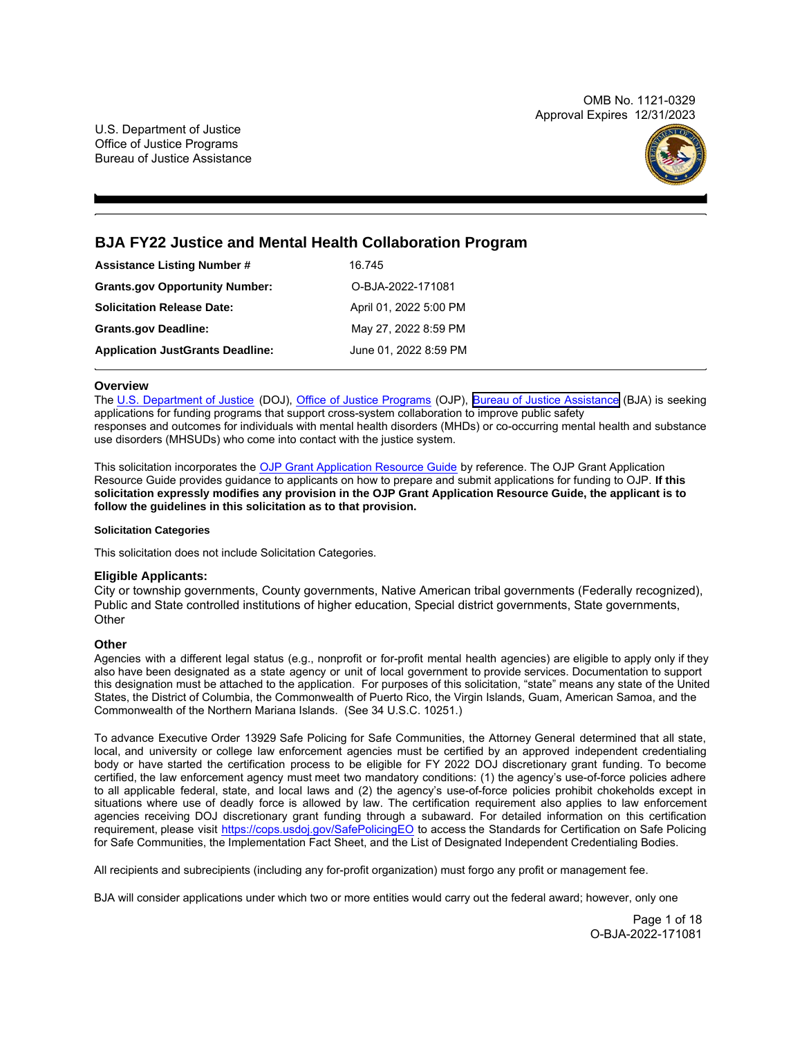OMB No. 1121-0329 Approval Expires 12/31/2023

U.S. Department of Justice Office of Justice Programs Bureau of Justice Assistance



# **BJA FY22 Justice and Mental Health Collaboration Program**

| <b>Assistance Listing Number #</b>      | 16.745                 |
|-----------------------------------------|------------------------|
| <b>Grants.gov Opportunity Number:</b>   | O-BJA-2022-171081      |
| <b>Solicitation Release Date:</b>       | April 01, 2022 5:00 PM |
| <b>Grants.gov Deadline:</b>             | May 27, 2022 8:59 PM   |
| <b>Application JustGrants Deadline:</b> | June 01, 2022 8:59 PM  |

# **Overview**

 The U.S. [Department](https://www.usdoj.gov/) of Justice (DOJ), Office of Justice [Programs](https://www.ojp.usdoj.gov/) (OJP), Bureau of Justice [Assistance](https://bja.ojp.gov/) (BJA) is seeking applications for funding programs that support cross-system collaboration to improve public safety responses and outcomes for individuals with mental health disorders (MHDs) or co-occurring mental health and substance use disorders (MHSUDs) who come into contact with the justice system.

This solicitation incorporates the [OJP Grant Application Resource Guide](https://www.ojp.gov/funding/Apply/Resources/Grant-App-Resource-Guide.htm) by reference. The OJP Grant Application Resource Guide provides guidance to applicants on how to prepare and submit applications for funding to OJP. **If this solicitation expressly modifies any provision in the OJP Grant Application Resource Guide, the applicant is to follow the guidelines in this solicitation as to that provision.** 

# **Solicitation Categories**

This solicitation does not include Solicitation Categories.

# **Eligible Applicants:**

City or township governments, County governments, Native American tribal governments (Federally recognized), Public and State controlled institutions of higher education, Special district governments, State governments, **Other** 

# **Other**

 Agencies with a different legal status (e.g., nonprofit or for-profit mental health agencies) are eligible to apply only if they also have been designated as a state agency or unit of local government to provide services. Documentation to support this designation must be attached to the application. For purposes of this solicitation, "state" means any state of the United States, the District of Columbia, the Commonwealth of Puerto Rico, the Virgin Islands, Guam, American Samoa, and the Commonwealth of the Northern Mariana Islands. (See 34 U.S.C. 10251.)

 To advance Executive Order 13929 Safe Policing for Safe Communities, the Attorney General determined that all state, local, and university or college law enforcement agencies must be certified by an approved independent credentialing body or have started the certification process to be eligible for FY 2022 DOJ discretionary grant funding. To become certified, the law enforcement agency must meet two mandatory conditions: (1) the agency's use-of-force policies adhere to all applicable federal, state, and local laws and (2) the agency's use-of-force policies prohibit chokeholds except in situations where use of deadly force is allowed by law. The certification requirement also applies to law enforcement agencies receiving DOJ discretionary grant funding through a subaward. For detailed information on this certification requirement, please visit <u>[https://cops.usdoj.gov/SafePolicingEO](https://cops.usdoj.gov/SafePolicingEO%20)</u> to access the Standards for Certification on Safe Policing for Safe Communities, the Implementation Fact Sheet, and the List of Designated Independent Credentialing Bodies.

All recipients and subrecipients (including any for-profit organization) must forgo any profit or management fee.

BJA will consider applications under which two or more entities would carry out the federal award; however, only one

Page 1 of 18 O-BJA-2022-171081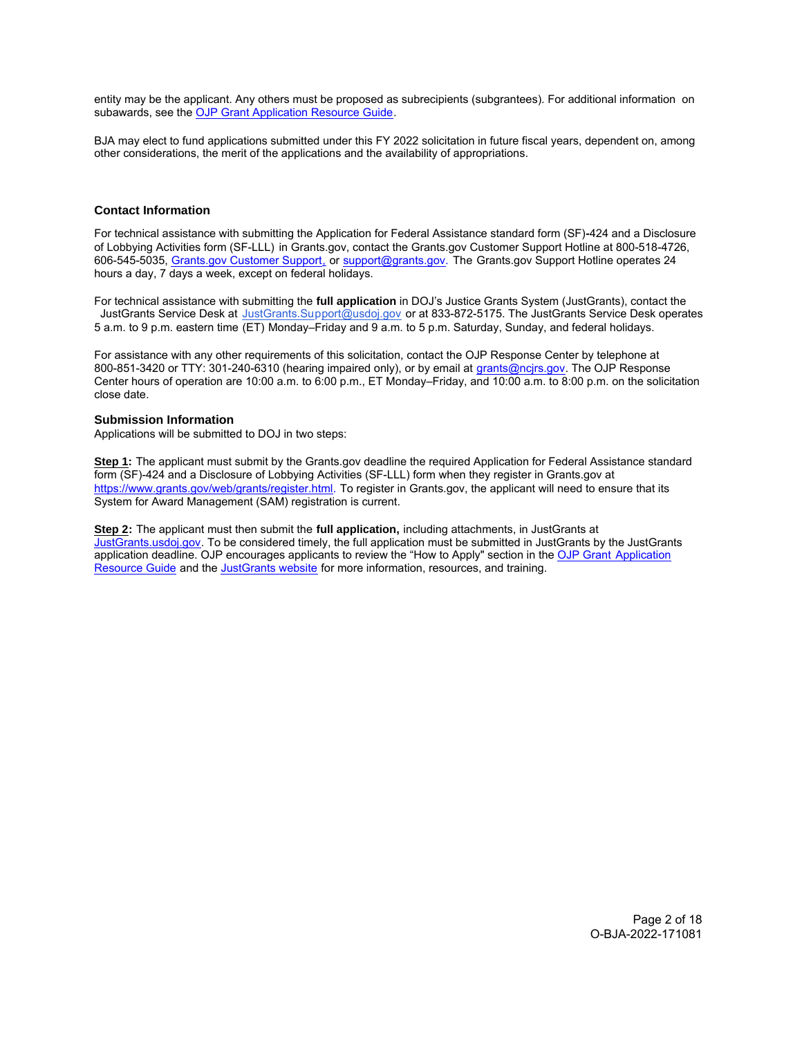<span id="page-1-0"></span>entity may be the applicant. Any others must be proposed as subrecipients (subgrantees). For additional information on subawards, see the [OJP Grant Application Resource Guide.](https://www.ojp.gov/funding/apply/ojp-grant-application-resource-guide#information-proposed-subwards)

BJA may elect to fund applications submitted under this FY 2022 solicitation in future fiscal years, dependent on, among other considerations, the merit of the applications and the availability of appropriations.

# **Contact Information**

For technical assistance with submitting the Application for Federal Assistance standard form (SF)**-**424 and a Disclosure of Lobbying Activities form (SF-LLL) in [Grants.gov](https://Grants.gov), contact the [Grants.gov](https://Grants.gov) Customer Support Hotline at 800-518-4726, 606-545-5035, [Grants.gov Customer Support,](https://www.grants.gov/web/grants/support.html) or [support@grants.gov.](mailto:support@grants.gov) The [Grants.gov](https://Grants.gov) Support Hotline operates 24 hours a day, 7 days a week, except on federal holidays.

For technical assistance with submitting the **full application** in DOJ's Justice Grants System (JustGrants), contact the JustGrants Service Desk at [JustGrants.Support@usdoj.gov](mailto:JustGrants.Support@usdoj.gov) or at 833-872-5175. The JustGrants Service Desk operates 5 a.m. to 9 p.m. eastern time (ET) Monday–Friday and 9 a.m. to 5 p.m. Saturday, Sunday, and federal holidays.

For assistance with any other requirements of this solicitation, contact the OJP Response Center by telephone at 800-851-3420 or TTY: 301-240-6310 (hearing impaired only), or by email at [grants@ncjrs.gov.](mailto:grants@ncjrs.gov) The OJP Response Center hours of operation are 10:00 a.m. to 6:00 p.m., ET Monday–Friday, and 10:00 a.m. to 8:00 p.m. on the solicitation close date.

# **Submission Information**

Applications will be submitted to DOJ in two steps:

**Step 1:** The applicant must submit by the [Grants.gov](https://Grants.gov) deadline the required Application for Federal Assistance standard form (SF)-424 and a Disclosure of Lobbying Activities (SF-LLL) form when they register in [Grants.gov](https://Grants.gov) at [https://www.grants.gov/web/grants/register.html.](https://www.grants.gov/web/grants/register.html) To register in [Grants.gov,](https://Grants.gov) the applicant will need to ensure that its System for Award Management (SAM) registration is current.

**Step 2:** The applicant must then submit the **full application,** including attachments, in JustGrants at [JustGrants.usdoj.gov.](https://justicegrants.usdoj.gov/) To be considered timely, the full application must be submitted in JustGrants by the JustGrants application deadline. OJP encourages applicants to review the "How to Apply" section in the [OJP Grant](https://www.ojp.gov/funding/apply/ojp-grant-application-resource-guide#apply) [Application](https://www.ojp.gov/funding/apply/ojp-grant-application-resource-guide#apply) [Resource Guide](https://www.ojp.gov/funding/apply/ojp-grant-application-resource-guide#apply) and the [JustGrants website](https://justicegrants.usdoj.gov/news) for more information, resources, and training.

> Page 2 of 18 O-BJA-2022-171081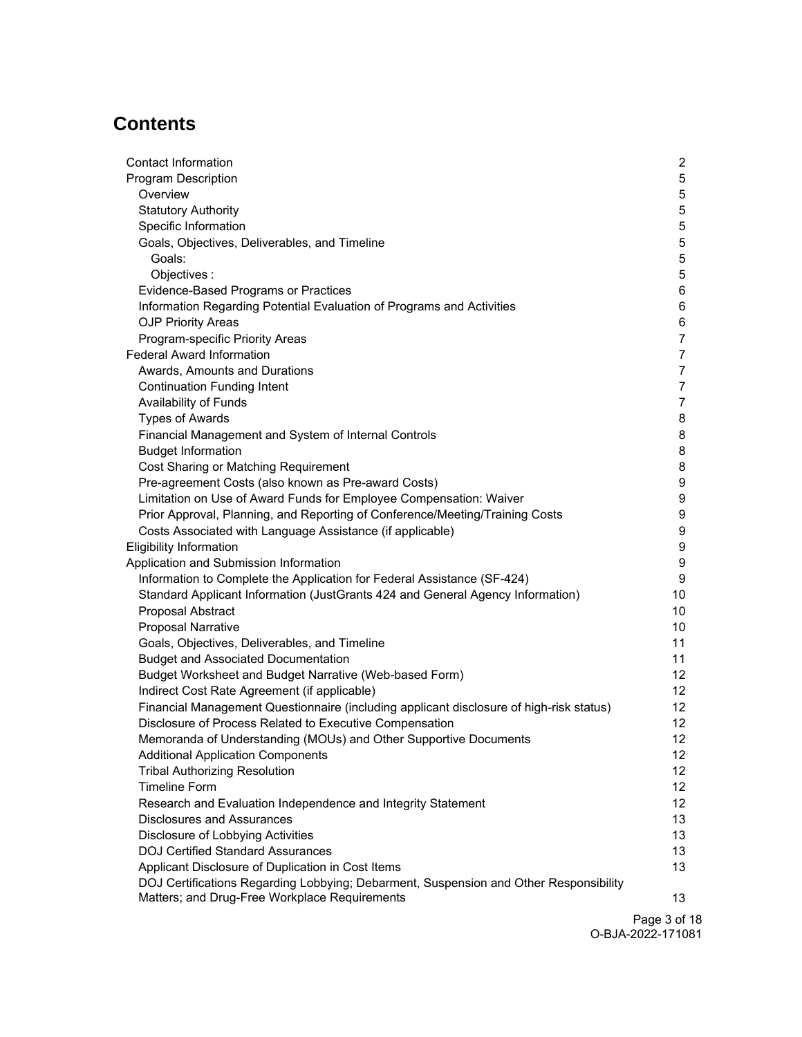# **Contents**

| <b>Contact Information</b>                                                              | $\overline{2}$  |
|-----------------------------------------------------------------------------------------|-----------------|
| <b>Program Description</b>                                                              | 5               |
| Overview                                                                                | 5               |
| <b>Statutory Authority</b>                                                              | 5               |
| Specific Information                                                                    | 5               |
| Goals, Objectives, Deliverables, and Timeline                                           | 5               |
| Goals:                                                                                  | 5               |
| Objectives:                                                                             | 5               |
| Evidence-Based Programs or Practices                                                    | 6               |
| Information Regarding Potential Evaluation of Programs and Activities                   | 6               |
| <b>OJP Priority Areas</b>                                                               | 6               |
| Program-specific Priority Areas                                                         | $\overline{7}$  |
| <b>Federal Award Information</b>                                                        | $\overline{7}$  |
| Awards, Amounts and Durations                                                           | $\overline{7}$  |
| <b>Continuation Funding Intent</b>                                                      | $\overline{7}$  |
| Availability of Funds                                                                   | $\overline{7}$  |
| <b>Types of Awards</b>                                                                  | 8               |
| Financial Management and System of Internal Controls                                    | 8               |
| <b>Budget Information</b>                                                               | 8               |
| Cost Sharing or Matching Requirement                                                    | 8               |
| Pre-agreement Costs (also known as Pre-award Costs)                                     | 9               |
| Limitation on Use of Award Funds for Employee Compensation: Waiver                      | 9               |
| Prior Approval, Planning, and Reporting of Conference/Meeting/Training Costs            | 9               |
| Costs Associated with Language Assistance (if applicable)                               | 9               |
| <b>Eligibility Information</b>                                                          | 9               |
| Application and Submission Information                                                  | 9               |
| Information to Complete the Application for Federal Assistance (SF-424)                 | 9               |
| Standard Applicant Information (JustGrants 424 and General Agency Information)          | 10              |
| Proposal Abstract                                                                       | 10              |
| <b>Proposal Narrative</b>                                                               | 10              |
|                                                                                         | 11              |
| Goals, Objectives, Deliverables, and Timeline                                           |                 |
| <b>Budget and Associated Documentation</b>                                              | 11              |
| Budget Worksheet and Budget Narrative (Web-based Form)                                  | 12              |
| Indirect Cost Rate Agreement (if applicable)                                            | 12 <sup>2</sup> |
| Financial Management Questionnaire (including applicant disclosure of high-risk status) | 12              |
| Disclosure of Process Related to Executive Compensation                                 | 12 <sub>2</sub> |
| Memoranda of Understanding (MOUs) and Other Supportive Documents                        | 12              |
| <b>Additional Application Components</b>                                                | 12              |
| <b>Tribal Authorizing Resolution</b>                                                    | 12 <sup>°</sup> |
| <b>Timeline Form</b>                                                                    | 12 <sup>°</sup> |
| Research and Evaluation Independence and Integrity Statement                            | 12              |
| <b>Disclosures and Assurances</b>                                                       | 13              |
| Disclosure of Lobbying Activities                                                       | 13              |
| <b>DOJ Certified Standard Assurances</b>                                                | 13              |
| Applicant Disclosure of Duplication in Cost Items                                       | 13              |
| DOJ Certifications Regarding Lobbying; Debarment, Suspension and Other Responsibility   |                 |
| Matters; and Drug-Free Workplace Requirements                                           | 13              |

Page 3 of 18 O-BJA-2022-171081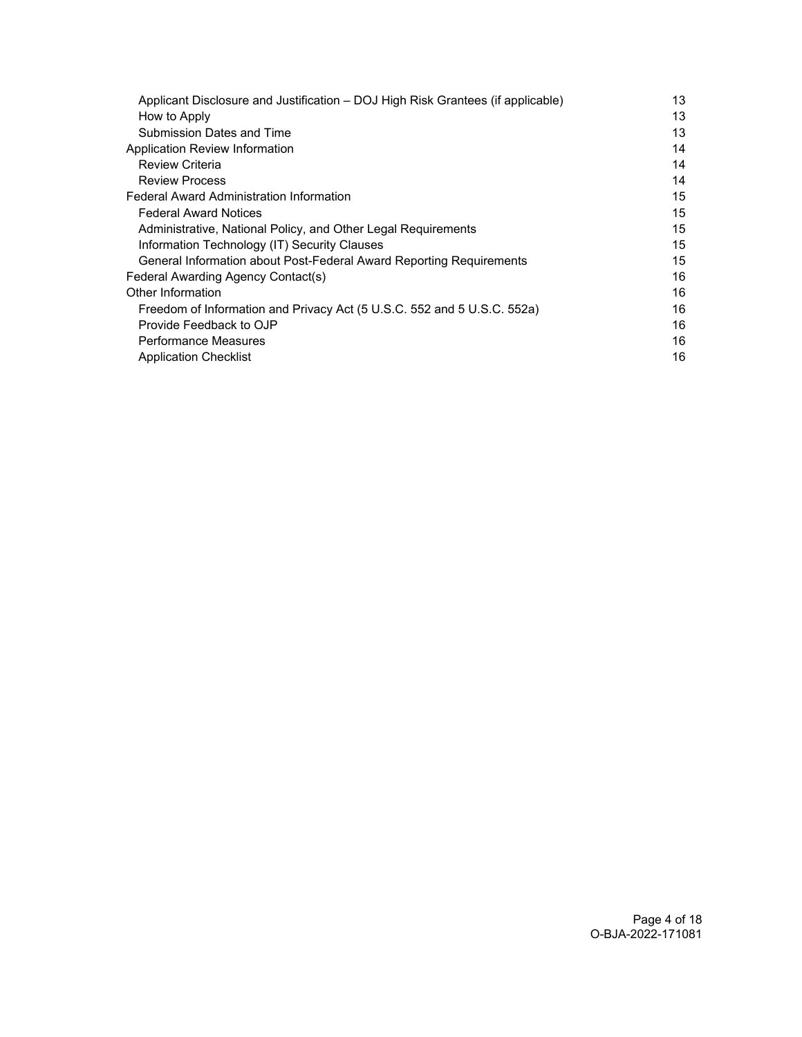| Applicant Disclosure and Justification - DOJ High Risk Grantees (if applicable) | 13 |
|---------------------------------------------------------------------------------|----|
| How to Apply                                                                    | 13 |
| <b>Submission Dates and Time</b>                                                | 13 |
| Application Review Information                                                  | 14 |
| <b>Review Criteria</b>                                                          | 14 |
| <b>Review Process</b>                                                           | 14 |
| <b>Federal Award Administration Information</b>                                 | 15 |
| <b>Federal Award Notices</b>                                                    | 15 |
| Administrative, National Policy, and Other Legal Requirements                   | 15 |
| Information Technology (IT) Security Clauses                                    | 15 |
| General Information about Post-Federal Award Reporting Requirements             | 15 |
| Federal Awarding Agency Contact(s)                                              | 16 |
| Other Information                                                               | 16 |
| Freedom of Information and Privacy Act (5 U.S.C. 552 and 5 U.S.C. 552a)         | 16 |
| Provide Feedback to OJP                                                         | 16 |
| <b>Performance Measures</b>                                                     | 16 |
| <b>Application Checklist</b>                                                    | 16 |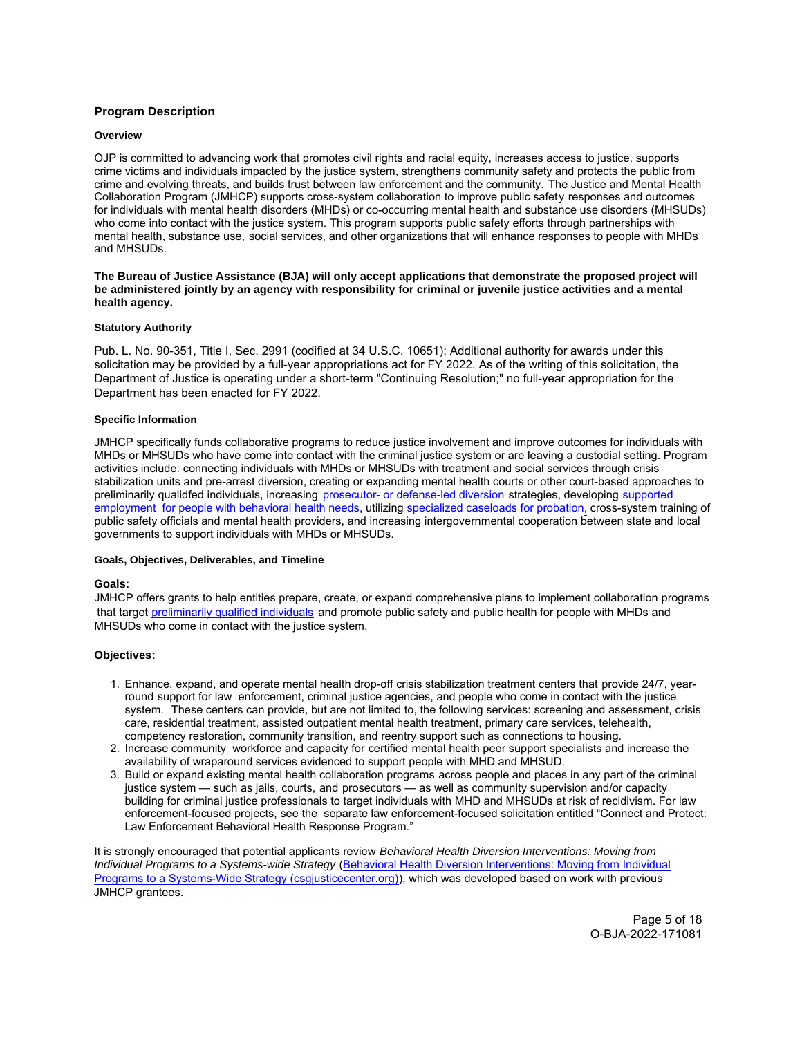# <span id="page-4-0"></span>**Program Description**

## **Overview**

OJP is committed to advancing work that promotes civil rights and racial equity, increases access to justice, supports crime victims and individuals impacted by the justice system, strengthens community safety and protects the public from crime and evolving threats, and builds trust between law enforcement and the community. The Justice and Mental Health Collaboration Program (JMHCP) supports cross-system collaboration to improve public safety responses and outcomes for individuals with mental health disorders (MHDs) or co-occurring mental health and substance use disorders (MHSUDs) who come into contact with the justice system. This program supports public safety efforts through partnerships with mental health, substance use, social services, and other organizations that will enhance responses to people with MHDs and MHSUDs.

**The Bureau of Justice Assistance (BJA) will only accept applications that demonstrate the proposed project will be administered jointly by an agency with responsibility for criminal or juvenile justice activities and a mental health agency.** 

#### **Statutory Authority**

Pub. L. No. 90-351, Title I, Sec. 2991 (codified at 34 U.S.C. 10651); Additional authority for awards under this solicitation may be provided by a full-year appropriations act for FY 2022. As of the writing of this solicitation, the Department of Justice is operating under a short-term "Continuing Resolution;" no full-year appropriation for the Department has been enacted for FY 2022.

#### **Specific Information**

JMHCP specifically funds collaborative programs to reduce justice involvement and improve outcomes for individuals with MHDs or MHSUDs who have come into contact with the criminal justice system or are leaving a custodial setting. Program activities include: connecting individuals with MHDs or MHSUDs with treatment and social services through crisis stabilization units and pre-arrest diversion, creating or expanding mental health courts or other court-based approaches to preliminarily qualidfed individuals, increasing [prosecutor- or defense-led diversion](https://csgjusticecenter.org/events/advancing-prosecutor-led-behavioral-health-diversion/) strategies, developing [supported](https://csgjusticecenter.org/publications/using-supported-employment-to-help-people-with-behavioral-health-needs-reentering-communities/) [employment for people with behavioral health needs,](https://csgjusticecenter.org/publications/using-supported-employment-to-help-people-with-behavioral-health-needs-reentering-communities/) utilizing [specialized caseloads for probation,](https://csgjusticecenter.org/publications/implementing-specialized-caseloads-to-reduce-recidivism-for-people-with-co-occurring-disorders/) cross-system training of public safety officials and mental health providers, and increasing intergovernmental cooperation between state and local governments to support individuals with MHDs or MHSUDs.

# **Goals, Objectives, Deliverables, and Timeline**

#### **Goals:**

JMHCP offers grants to help entities prepare, create, or expand comprehensive plans to implement collaboration programs that target [preliminarily qualified individuals](https://www.congress.gov/bill/114th-congress/house-bill/34/text) and promote public safety and public health for people with MHDs and MHSUDs who come in contact with the justice system.

# **Objectives**:

- system. These centers can provide, but are not limited to, the following services: screening and assessment, crisis 1. Enhance, expand, and operate mental health drop-off crisis stabilization treatment centers that provide 24/7, yearround support for law enforcement, criminal justice agencies, and people who come in contact with the justice care, residential treatment, assisted outpatient mental health treatment, primary care services, telehealth, competency restoration, community transition, and reentry support such as connections to housing.
- 2. Increase community workforce and capacity for certified mental health peer support specialists and increase the availability of wraparound services evidenced to support people with MHD and MHSUD.
- 3. Build or expand existing mental health collaboration programs across people and places in any part of the criminal justice system — such as jails, courts, and prosecutors — as well as community supervision and/or capacity building for criminal justice professionals to target individuals with MHD and MHSUDs at risk of recidivism. For law enforcement-focused projects, see the separate law enforcement-focused solicitation entitled "Connect and Protect: Law Enforcement Behavioral Health Response Program."

It is strongly encouraged that potential applicants review Behavioral Health Diversion Interventions: Moving from Individual Programs to a Systems-wide Strategy ([Behavioral Health Diversion Interventions: Moving from Individual](https://csgjusticecenter.org/wp-content/uploads/2020/02/Diversion-conecept-paper.pdf) [Programs to a Systems-Wide Strategy \(csgjusticecenter.org\)\)](https://csgjusticecenter.org/wp-content/uploads/2020/02/Diversion-conecept-paper.pdf), which was developed based on work with previous JMHCP grantees.

> Page 5 of 18 O-BJA-2022-171081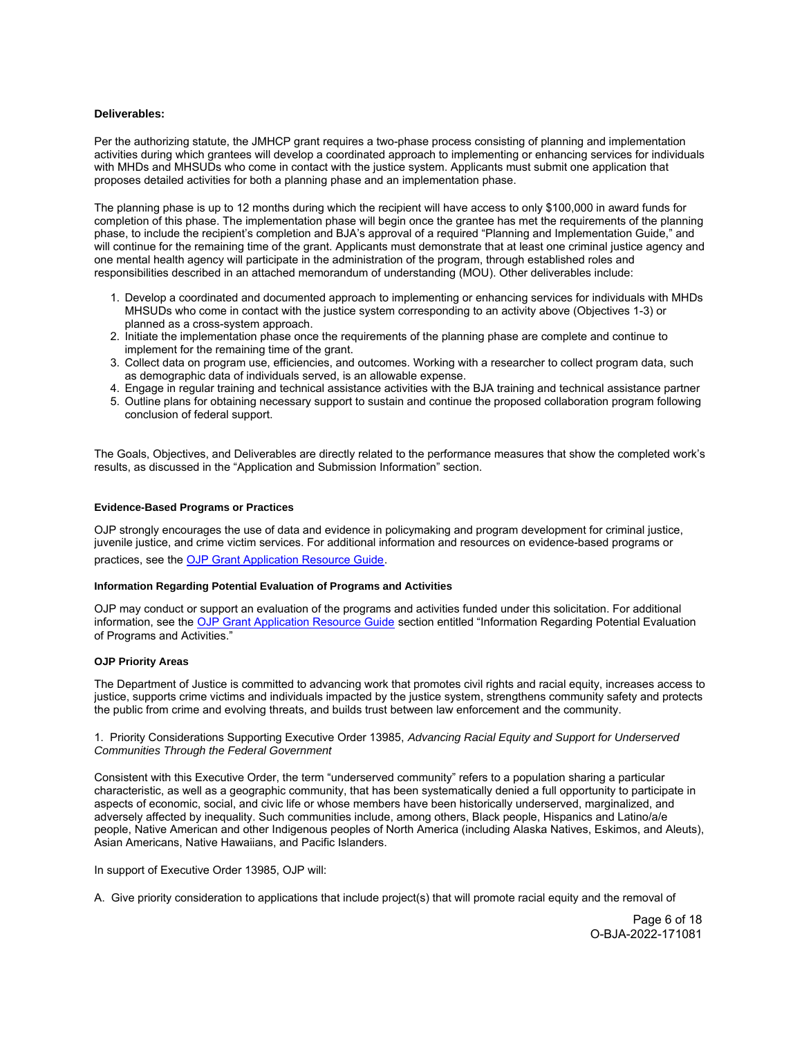## <span id="page-5-0"></span>**Deliverables:**

Per the authorizing statute, the JMHCP grant requires a two-phase process consisting of planning and implementation activities during which grantees will develop a coordinated approach to implementing or enhancing services for individuals with MHDs and MHSUDs who come in contact with the justice system. Applicants must submit one application that proposes detailed activities for both a planning phase and an implementation phase.

The planning phase is up to 12 months during which the recipient will have access to only \$100,000 in award funds for completion of this phase. The implementation phase will begin once the grantee has met the requirements of the planning phase, to include the recipient's completion and BJA's approval of a required "Planning and Implementation Guide," and will continue for the remaining time of the grant. Applicants must demonstrate that at least one criminal justice agency and one mental health agency will participate in the administration of the program, through established roles and responsibilities described in an attached memorandum of understanding (MOU). Other deliverables include:

- 1. Develop a coordinated and documented approach to implementing or enhancing services for individuals with MHDs MHSUDs who come in contact with the justice system corresponding to an activity above (Objectives 1-3) or planned as a cross-system approach.
- 2. Initiate the implementation phase once the requirements of the planning phase are complete and continue to implement for the remaining time of the grant.
- 3. Collect data on program use, efficiencies, and outcomes. Working with a researcher to collect program data, such as demographic data of individuals served, is an allowable expense.
- 4. Engage in regular training and technical assistance activities with the BJA training and technical assistance partner
- 5. Outline plans for obtaining necessary support to sustain and continue the proposed collaboration program following conclusion of federal support.

The Goals, Objectives, and Deliverables are directly related to the performance measures that show the completed work's results, as discussed in the "Application and Submission Information" section.

#### **Evidence-Based Programs or Practices**

OJP strongly encourages the use of data and evidence in policymaking and program development for criminal justice, juvenile justice, and crime victim services. For additional information and resources on evidence-based programs or practices, see the [OJP Grant Application Resource Guide.](https://www.ojp.gov/funding/apply/ojp-grant-application-resource-guide#evidence-based)

#### **Information Regarding Potential Evaluation of Programs and Activities**

OJP may conduct or support an evaluation of the programs and activities funded under this solicitation. For additional information, see the [OJP Grant Application Resource Guide](https://www.ojp.gov/funding/apply/ojp-grant-application-resource-guide#potential-evaluation) section entitled "Information Regarding Potential Evaluation of Programs and Activities."

# **OJP Priority Areas**

The Department of Justice is committed to advancing work that promotes civil rights and racial equity, increases access to justice, supports crime victims and individuals impacted by the justice system, strengthens community safety and protects the public from crime and evolving threats, and builds trust between law enforcement and the community.

1. Priority Considerations Supporting Executive Order 13985, Advancing Racial Equity and Support for Underserved Communities Through the Federal Government

Consistent with this Executive Order, the term "underserved community" refers to a population sharing a particular characteristic, as well as a geographic community, that has been systematically denied a full opportunity to participate in aspects of economic, social, and civic life or whose members have been historically underserved, marginalized, and adversely affected by inequality. Such communities include, among others, Black people, Hispanics and Latino/a/e people, Native American and other Indigenous peoples of North America (including Alaska Natives, Eskimos, and Aleuts), Asian Americans, Native Hawaiians, and Pacific Islanders.

In support of Executive Order 13985, OJP will:

A. Give priority consideration to applications that include project(s) that will promote racial equity and the removal of

Page 6 of 18 O-BJA-2022-171081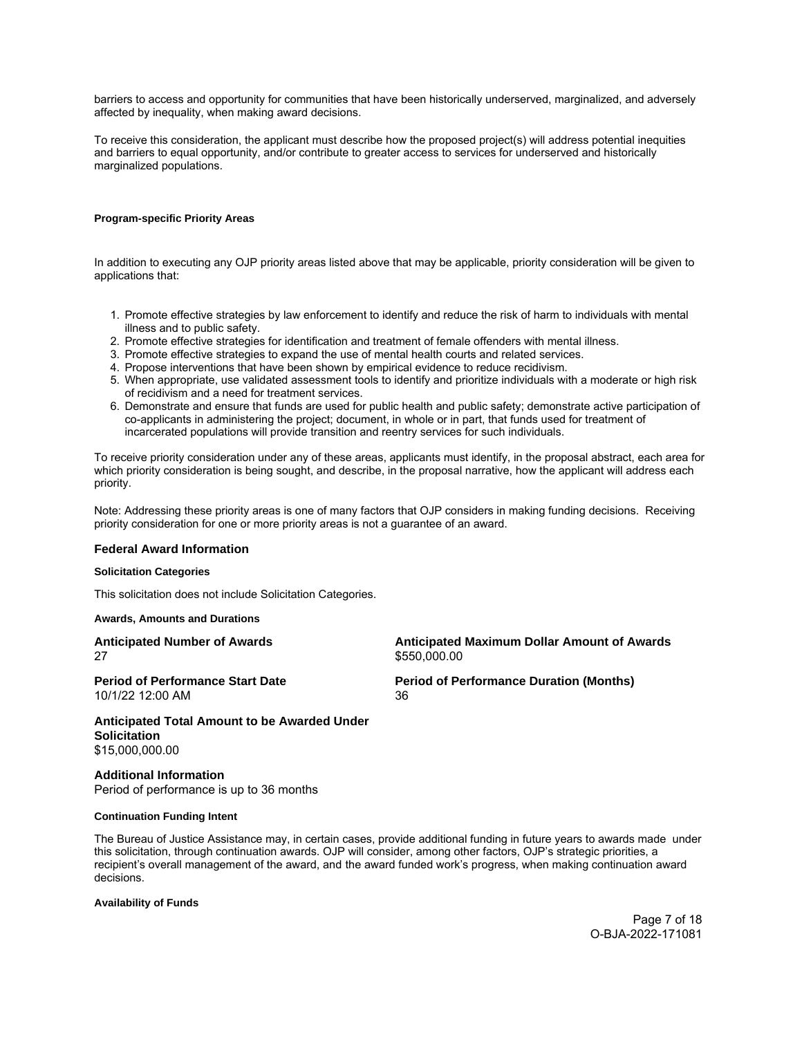<span id="page-6-0"></span>barriers to access and opportunity for communities that have been historically underserved, marginalized, and adversely affected by inequality, when making award decisions.

To receive this consideration, the applicant must describe how the proposed project(s) will address potential inequities and barriers to equal opportunity, and/or contribute to greater access to services for underserved and historically marginalized populations.

# **Program-specific Priority Areas**

In addition to executing any OJP priority areas listed above that may be applicable, priority consideration will be given to applications that:

- 1. Promote effective strategies by law enforcement to identify and reduce the risk of harm to individuals with mental illness and to public safety.
- 2. Promote effective strategies for identification and treatment of female offenders with mental illness.
- 3. Promote effective strategies to expand the use of mental health courts and related services.
- 4. Propose interventions that have been shown by empirical evidence to reduce recidivism.
- 5. When appropriate, use validated assessment tools to identify and prioritize individuals with a moderate or high risk of recidivism and a need for treatment services.
- 6. Demonstrate and ensure that funds are used for public health and public safety; demonstrate active participation of co-applicants in administering the project; document, in whole or in part, that funds used for treatment of incarcerated populations will provide transition and reentry services for such individuals.

To receive priority consideration under any of these areas, applicants must identify, in the proposal abstract, each area for which priority consideration is being sought, and describe, in the proposal narrative, how the applicant will address each priority.

Note: Addressing these priority areas is one of many factors that OJP considers in making funding decisions. Receiving priority consideration for one or more priority areas is not a guarantee of an award.

# **Federal Award Information**

#### **Solicitation Categories**

This solicitation does not include Solicitation Categories.

# **Awards, Amounts and Durations**

| <b>Anticipated Number of Awards</b>          | <b>Anticipated Maximum Dollar Amount of Awards</b> |
|----------------------------------------------|----------------------------------------------------|
| 27                                           | \$550,000.00                                       |
| <b>Period of Performance Start Date</b>      | <b>Period of Performance Duration (Months)</b>     |
| 10/1/22 12:00 AM                             | 36                                                 |
| Anticipated Total Amount to be Awarded Under |                                                    |

**Solicitation**  [\\$15,000,000.00](https://15,000,000.00)

**Additional Information**  Period of performance is up to 36 months

# **Continuation Funding Intent**

The Bureau of Justice Assistance may, in certain cases, provide additional funding in future years to awards made under this solicitation, through continuation awards. OJP will consider, among other factors, OJP's strategic priorities, a recipient's overall management of the award, and the award funded work's progress, when making continuation award decisions.

## **Availability of Funds**

Page 7 of 18 O-BJA-2022-171081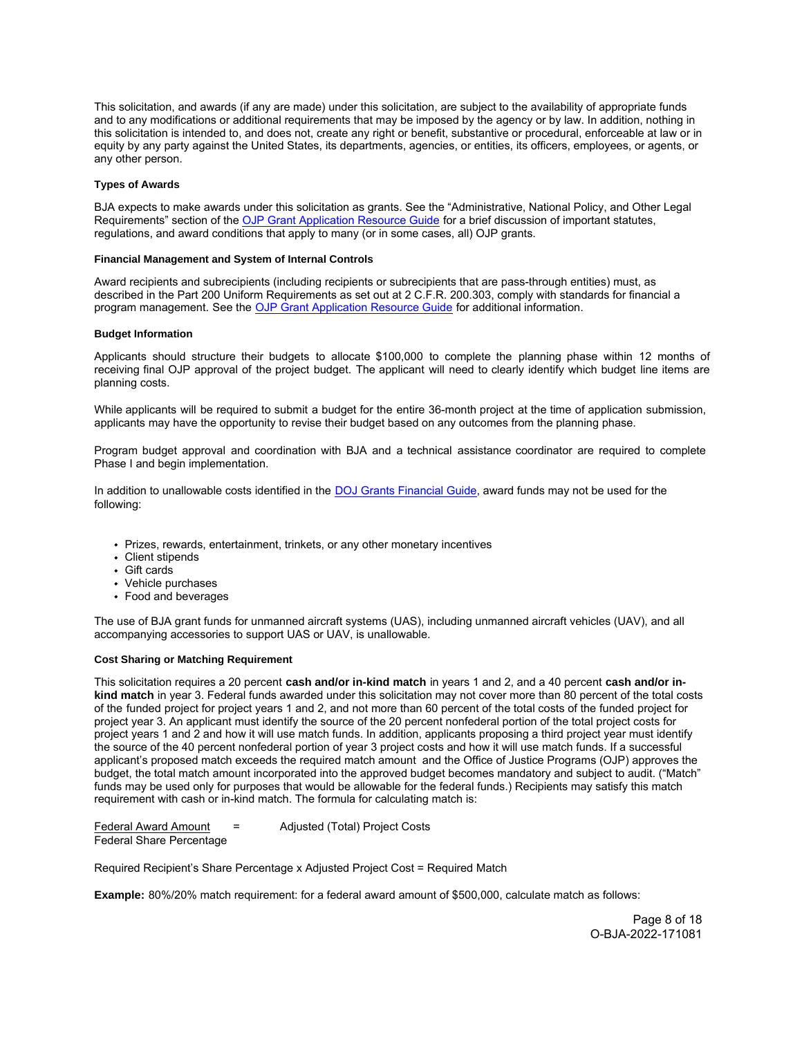<span id="page-7-0"></span>This solicitation, and awards (if any are made) under this solicitation, are subject to the availability of appropriate funds and to any modifications or additional requirements that may be imposed by the agency or by law. In addition, nothing in this solicitation is intended to, and does not, create any right or benefit, substantive or procedural, enforceable at law or in equity by any party against the United States, its departments, agencies, or entities, its officers, employees, or agents, or any other person.

#### **Types of Awards**

BJA expects to make awards under this solicitation as grants. See the "Administrative, National Policy, and Other Legal Requirements" section of the [OJP Grant Application Resource Guide](https://www.ojp.gov/funding/apply/ojp-grant-application-resource-guide#administrative) for a brief discussion of important statutes, regulations, and award conditions that apply to many (or in some cases, all) OJP grants.

# **Financial Management and System of Internal Controls**

Award recipients and subrecipients (including recipients or subrecipients that are pass-through entities) must, as described in the Part 200 Uniform Requirements as set out at 2 C.F.R. 200.303, comply with standards for financial a program management. See the [OJP Grant Application Resource Guide](https://www.ojp.gov/funding/apply/ojp-grant-application-resource-guide#fm-internal-controls) for additional information.

#### **Budget Information**

 Applicants should structure their budgets to allocate \$100,000 to complete the planning phase within 12 months of receiving final OJP approval of the project budget. The applicant will need to clearly identify which budget line items are planning costs.

 While applicants will be required to submit a budget for the entire 36-month project at the time of application submission, applicants may have the opportunity to revise their budget based on any outcomes from the planning phase.

 Program budget approval and coordination with BJA and a technical assistance coordinator are required to complete Phase I and begin implementation.

In addition to unallowable costs identified in the DOJ Grants Financial Guide, award funds may not be used for the following:

- Prizes, rewards, entertainment, trinkets, or any other monetary incentives
- Client stipends
- Gift cards
- Vehicle purchases
- Food and beverages

The use of BJA grant funds for unmanned aircraft systems (UAS), including unmanned aircraft vehicles (UAV), and all accompanying accessories to support UAS or UAV, is unallowable.

# **Cost Sharing or Matching Requirement**

This solicitation requires a 20 percent **cash and/or in-kind match** in years 1 and 2, and a 40 percent **cash and/or inkind match** in year 3. Federal funds awarded under this solicitation may not cover more than 80 percent of the total costs of the funded project for project years 1 and 2, and not more than 60 percent of the total costs of the funded project for project year 3. An applicant must identify the source of the 20 percent nonfederal portion of the total project costs for project years 1 and 2 and how it will use match funds. In addition, applicants proposing a third project year must identify the source of the 40 percent nonfederal portion of year 3 project costs and how it will use match funds. If a successful applicant's proposed match exceeds the required match amount and the Office of Justice Programs (OJP) approves the budget, the total match amount incorporated into the approved budget becomes mandatory and subject to audit. ("Match" funds may be used only for purposes that would be allowable for the federal funds.) Recipients may satisfy this match requirement with cash or in-kind match. The formula for calculating match is:

Federal Award Amount = Adjusted (Total) Project Costs Federal Share Percentage

Required Recipient's Share Percentage x Adjusted Project Cost = Required Match

**Example:** 80%/20% match requirement: for a federal award amount of \$500,000, calculate match as follows:

Page 8 of 18 O-BJA-2022-171081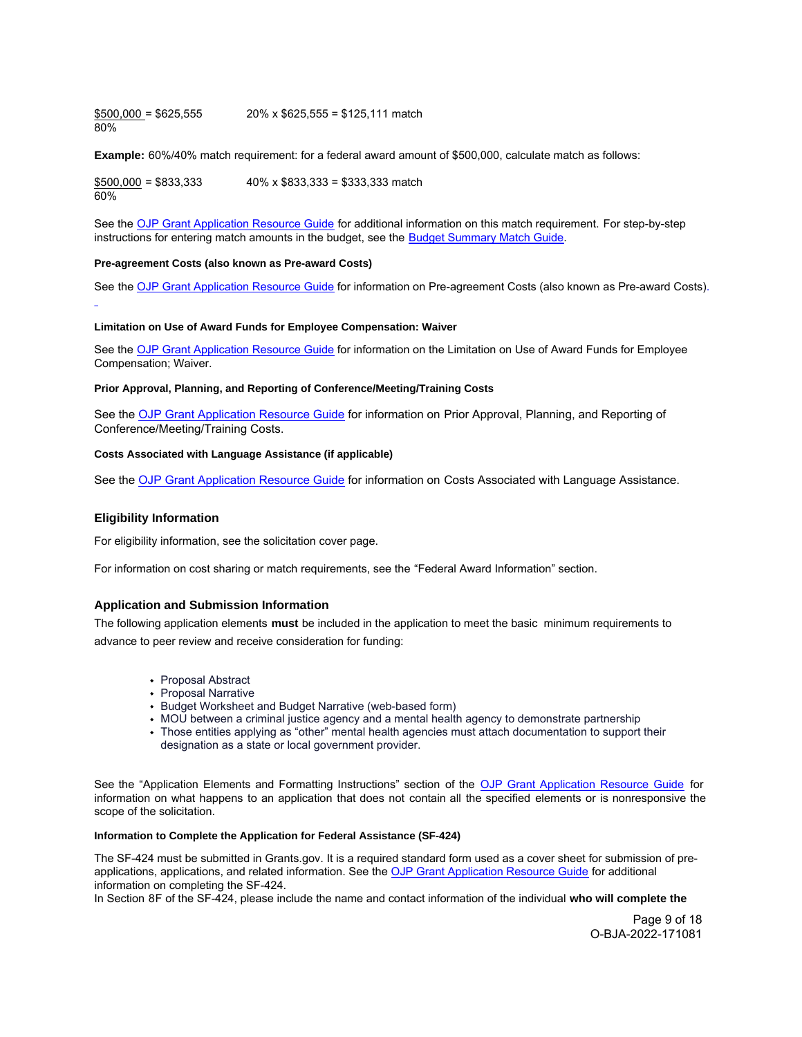<span id="page-8-0"></span> $$500,000 = $625,555$  20% x \$625,555 = \$125,111 match 80%

**Example:** 60%/40% match requirement: for a federal award amount of \$500,000, calculate match as follows:

 $$500,000 = $833,333$  40% x \$833,333 = \$333,333 match 60%

See the OJP Grant Application Resource Guide for additional information on this match requirement. For step-by-step instructions for entering match amounts in the budget, see the [Budget Summary Match Guide.](https://justicegrants.usdoj.gov/sites/g/files/xyckuh296/files/media/document/budget-summary-match-guide.pdf)

# **Pre-agreement Costs (also known as Pre-award Costs)**

See the [OJP Grant Application Resource Guide](https://www.ojp.gov/funding/apply/ojp-grant-application-resource-guide#pre-agreement-costs) for information on Pre-agreement Costs (also known as Pre-award Costs).

#### **Limitation on Use of Award Funds for Employee Compensation: Waiver**

See the [OJP Grant Application Resource Guide](https://www.ojp.gov/funding/apply/ojp-grant-application-resource-guide#limitation-use-award) for information on the Limitation on Use of Award Funds for Employee Compensation; Waiver.

#### **Prior Approval, Planning, and Reporting of Conference/Meeting/Training Costs**

See the [OJP Grant Application Resource Guide](https://www.ojp.gov/funding/apply/ojp-grant-application-resource-guide#prior-approval) for information on Prior Approval, Planning, and Reporting of Conference/Meeting/Training Costs.

#### **Costs Associated with Language Assistance (if applicable)**

See the [OJP Grant Application Resource Guide](https://www.ojp.gov/funding/apply/ojp-grant-application-resource-guide#costs-associated) for information on Costs Associated with Language Assistance.

# **Eligibility Information**

For eligibility information, see the solicitation cover page.

For information on cost sharing or match requirements, see the "Federal Award Information" section.

# **Application and Submission Information**

The following application elements **must** be included in the application to meet the basic minimum requirements to advance to peer review and receive consideration for funding:

- Proposal Abstract
- Proposal Narrative
- Budget Worksheet and Budget Narrative (web-based form)
- MOU between a criminal justice agency and a mental health agency to demonstrate partnership
- Those entities applying as "other" mental health agencies must attach documentation to support their designation as a state or local government provider.

See the "Application Elements and Formatting Instructions" section of the OJP Grant [Application](https://www.ojp.gov/funding/apply/ojp-grant-application-resource-guide#application-elements) Resource Guide for information on what happens to an application that does not contain all the specified elements or is nonresponsive the scope of the solicitation.

#### **Information to Complete the Application for Federal Assistance (SF-424)**

The SF-424 must be submitted in [Grants.gov.](https://Grants.gov) It is a required standard form used as a cover sheet for submission of pre-applications, applications, and related information. See the [OJP Grant Application Resource Guide](https://www.ojp.gov/funding/apply/ojp-grant-application-resource-guide#complete-application) for additional information on completing the SF-424.

In Section 8F of the SF-424, please include the name and contact information of the individual **who will complete the** 

Page 9 of 18 O-BJA-2022-171081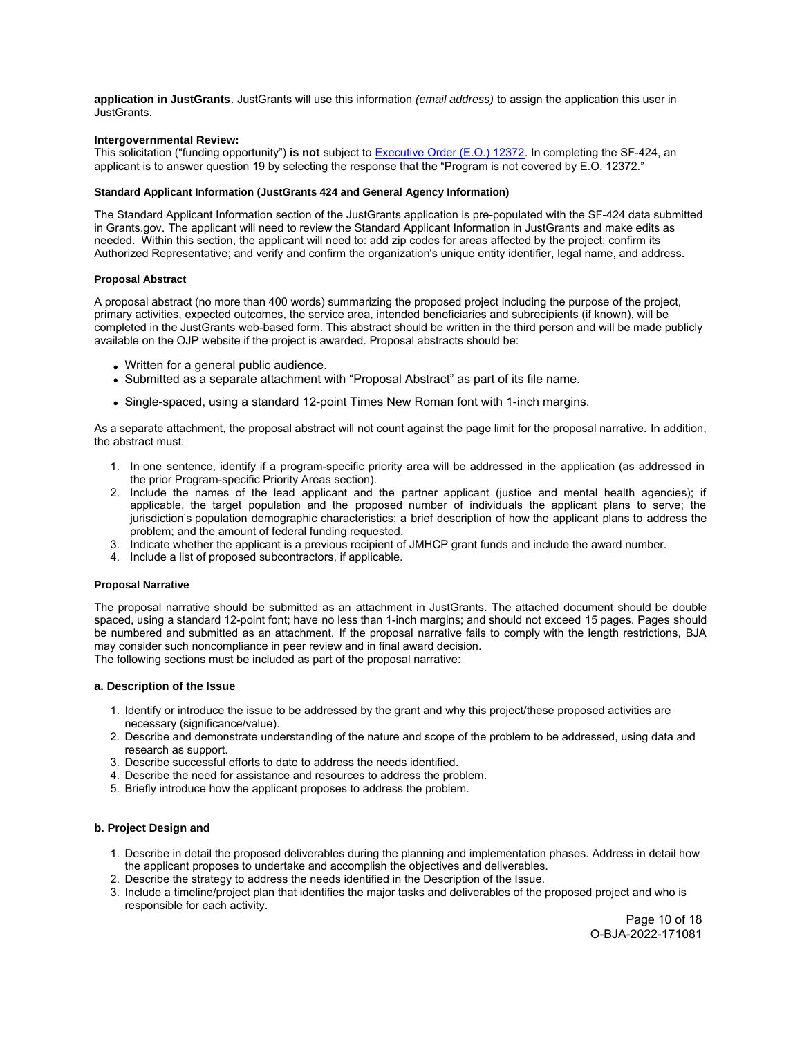<span id="page-9-0"></span>**application in JustGrants**. JustGrants will use this information (email address) to assign the application this user in JustGrants.

# **Intergovernmental Review:**

This solicitation ("funding opportunity") **is not** subject to [Executive Order \(E.O.\) 12372.](https://www.archives.gov/federal-register/codification/executive-order/12372.html) In completing the SF-424, an applicant is to answer question 19 by selecting the response that the "Program is not covered by E.O. 12372."

#### **Standard Applicant Information (JustGrants 424 and General Agency Information)**

The Standard Applicant Information section of the JustGrants application is pre-populated with the SF-424 data submitted in [Grants.gov](https://Grants.gov). The applicant will need to review the Standard Applicant Information in JustGrants and make edits as needed. Within this section, the applicant will need to: add zip codes for areas affected by the project; confirm its Authorized Representative; and verify and confirm the organization's unique entity identifier, legal name, and address.

#### **Proposal Abstract**

A proposal abstract (no more than 400 words) summarizing the proposed project including the purpose of the project, primary activities, expected outcomes, the service area, intended beneficiaries and subrecipients (if known), will be completed in the JustGrants web-based form. This abstract should be written in the third person and will be made publicly available on the OJP website if the project is awarded. Proposal abstracts should be:

- Written for a general public audience.
- Submitted as a separate attachment with "Proposal Abstract" as part of its file name.
- Single-spaced, using a standard 12-point Times New Roman font with 1-inch margins.

As a separate attachment, the proposal abstract will not count against the page limit for the proposal narrative. In addition, the abstract must:

- 1. In one sentence, identify if a program-specific priority area will be addressed in the application (as addressed in the prior Program-specific Priority Areas section).
- 2. Include the names of the lead applicant and the partner applicant (justice and mental health agencies); if applicable, the target population and the proposed number of individuals the applicant plans to serve; the jurisdiction's population demographic characteristics; a brief description of how the applicant plans to address the problem; and the amount of federal funding requested.
- 3. Indicate whether the applicant is a previous recipient of JMHCP grant funds and include the award number.
- 4. Include a list of proposed subcontractors, if applicable.

#### **Proposal Narrative**

The proposal narrative should be submitted as an attachment in JustGrants. The attached document should be double spaced, using a standard 12-point font; have no less than 1-inch margins; and should not exceed 15 pages. Pages should be numbered and submitted as an attachment. If the proposal narrative fails to comply with the length restrictions, BJA may consider such noncompliance in peer review and in final award decision. The following sections must be included as part of the proposal narrative:

#### **a. Description of the Issue**

- 1. Identify or introduce the issue to be addressed by the grant and why this project/these proposed activities are necessary (significance/value).
- 2. Describe and demonstrate understanding of the nature and scope of the problem to be addressed, using data and research as support.
- 3. Describe successful efforts to date to address the needs identified.
- 4. Describe the need for assistance and resources to address the problem.
- 5. Briefly introduce how the applicant proposes to address the problem.

# **b. Project Design and**

- 1. Describe in detail the proposed deliverables during the planning and implementation phases. Address in detail how the applicant proposes to undertake and accomplish the objectives and deliverables.
- 2. Describe the strategy to address the needs identified in the Description of the Issue.
- 3. Include a timeline/project plan that identifies the major tasks and deliverables of the proposed project and who is responsible for each activity.

Page 10 of 18 O-BJA-2022-171081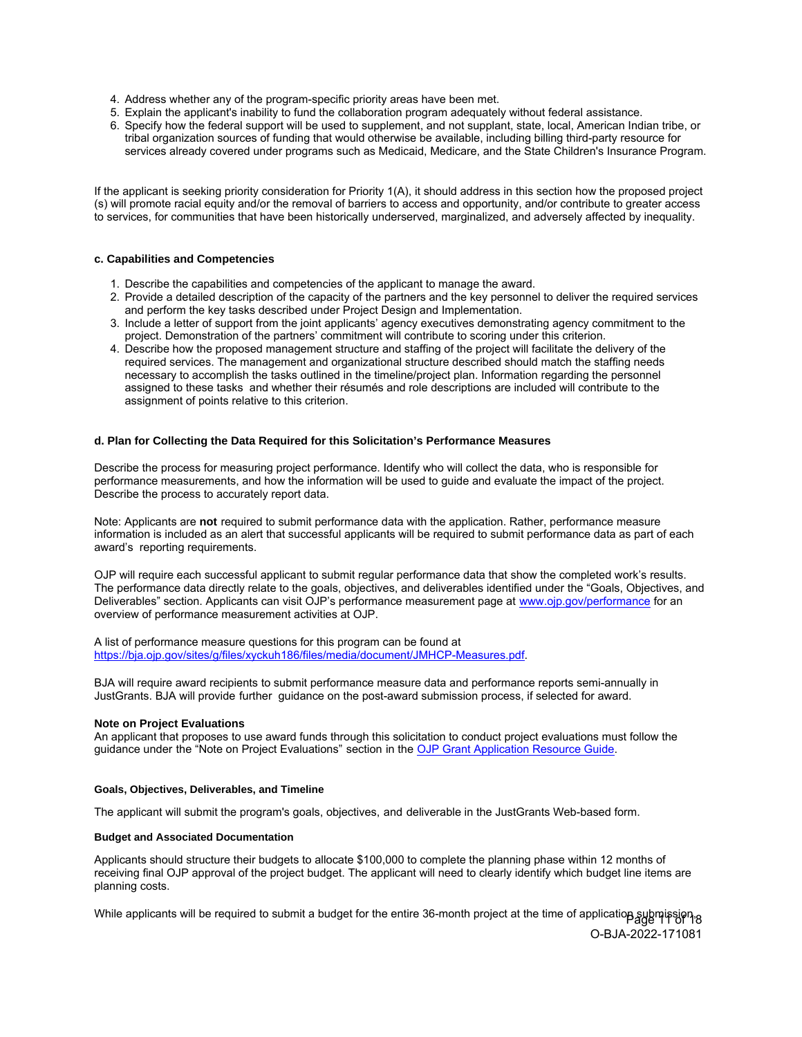- <span id="page-10-0"></span>4. Address whether any of the program-specific priority areas have been met.
- 5. Explain the applicant's inability to fund the collaboration program adequately without federal assistance.
- 6. Specify how the federal support will be used to supplement, and not supplant, state, local, American Indian tribe, or tribal organization sources of funding that would otherwise be available, including billing third-party resource for services already covered under programs such as Medicaid, Medicare, and the State Children's Insurance Program.

If the applicant is seeking priority consideration for Priority 1(A), it should address in this section how the proposed project (s) will promote racial equity and/or the removal of barriers to access and opportunity, and/or contribute to greater access to services, for communities that have been historically underserved, marginalized, and adversely affected by inequality.

# **c. Capabilities and Competencies**

- 1. Describe the capabilities and competencies of the applicant to manage the award.
- 2. Provide a detailed description of the capacity of the partners and the key personnel to deliver the required services and perform the key tasks described under Project Design and Implementation.
- 3. Include a letter of support from the joint applicants' agency executives demonstrating agency commitment to the project. Demonstration of the partners' commitment will contribute to scoring under this criterion.
- 4. Describe how the proposed management structure and staffing of the project will facilitate the delivery of the required services. The management and organizational structure described should match the staffing needs necessary to accomplish the tasks outlined in the timeline/project plan. Information regarding the personnel assigned to these tasks and whether their résumés and role descriptions are included will contribute to the assignment of points relative to this criterion.

# **d. Plan for Collecting the Data Required for this Solicitation's Performance Measures**

Describe the process for measuring project performance. Identify who will collect the data, who is responsible for performance measurements, and how the information will be used to guide and evaluate the impact of the project. Describe the process to accurately report data.

Note: Applicants are **not** required to submit performance data with the application. Rather, performance measure information is included as an alert that successful applicants will be required to submit performance data as part of each award's reporting requirements.

OJP will require each successful applicant to submit regular performance data that show the completed work's results. The performance data directly relate to the goals, objectives, and deliverables identified under the "Goals, Objectives, and Deliverables" section. Applicants can visit OJP's performance measurement page at [www.ojp.gov/performance fo](http://www.ojp.gov/performance)r an overview of performance measurement activities at OJP.

A list of performance measure questions for this program can be found at [https://bja.ojp.gov/sites/g/files/xyckuh186/files/media/document/JMHCP-Measures.pdf.](https://bja.ojp.gov/sites/g/files/xyckuh186/files/media/document/JMHCP-Measures.pdf) 

BJA will require award recipients to submit performance measure data and performance reports semi-annually in JustGrants. BJA will provide further guidance on the post-award submission process, if selected for award.

#### **Note on Project Evaluations**

An applicant that proposes to use award funds through this solicitation to conduct project evaluations must follow the guidance under the "Note on Project Evaluations" section in the [OJP Grant Application Resource Guide.](https://www.ojp.gov/funding/apply/ojp-grant-application-resource-guide#project-evaluations)

#### **Goals, Objectives, Deliverables, and Timeline**

The applicant will submit the program's goals, objectives, and deliverable in the JustGrants Web-based form.

#### **Budget and Associated Documentation**

Applicants should structure their budgets to allocate \$100,000 to complete the planning phase within 12 months of receiving final OJP approval of the project budget. The applicant will need to clearly identify which budget line items are planning costs.

While applicants will be required to submit a budget for the entire 36-month project at the time of application submission 8 O-BJA-2022-171081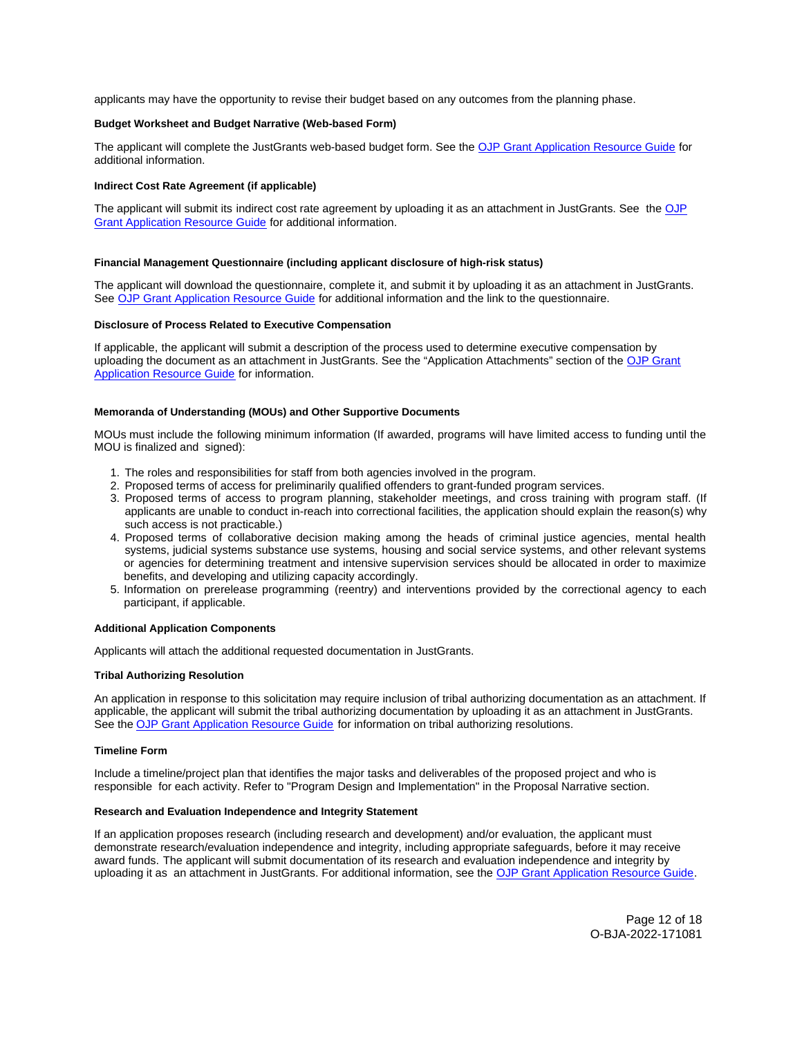<span id="page-11-0"></span>applicants may have the opportunity to revise their budget based on any outcomes from the planning phase.

#### **Budget Worksheet and Budget Narrative (Web-based Form)**

The applicant will complete the JustGrants web-based budget form. See the [OJP Grant Application Resource Guide](https://www.ojp.gov/funding/apply/ojp-grant-application-resource-guide#budget-prep) for additional information.

#### **Indirect Cost Rate Agreement (if applicable)**

The applicant will submit its indirect cost rate agreement by uploading it as an attachment in JustGrants. See the OJP [Grant Application Resource Guide](https://www.ojp.gov/funding/apply/ojp-grant-application-resource-guide#indirect-cost) for additional information.

#### **Financial Management Questionnaire (including applicant disclosure of high-risk status)**

The applicant will download the questionnaire, complete it, and submit it by uploading it as an attachment in JustGrants. See [OJP Grant Application Resource Guide](https://www.ojp.gov/funding/apply/ojp-grant-application-resource-guide#fm-internal-controls-questionnaire) for additional information and the link to the questionnaire.

#### **Disclosure of Process Related to Executive Compensation**

If applicable, the applicant will submit a description of the process used to determine executive compensation by uploading the document as an attachment in JustGrants. See the "Application Attachments" section of the [OJP Grant](https://www.ojp.gov/funding/apply/ojp-grant-application-resource-guide#disclosure-process-executive)  [Application Resource Guide](https://www.ojp.gov/funding/apply/ojp-grant-application-resource-guide#disclosure-process-executive) for information.

## **Memoranda of Understanding (MOUs) and Other Supportive Documents**

MOUs must include the following minimum information (If awarded, programs will have limited access to funding until the MOU is finalized and signed):

- 1. The roles and responsibilities for staff from both agencies involved in the program.
- 2. Proposed terms of access for preliminarily qualified offenders to grant-funded program services.
- 3. Proposed terms of access to program planning, stakeholder meetings, and cross training with program staff. (If applicants are unable to conduct in-reach into correctional facilities, the application should explain the reason(s) why such access is not practicable.)
- 4. Proposed terms of collaborative decision making among the heads of criminal justice agencies, mental health systems, judicial systems substance use systems, housing and social service systems, and other relevant systems or agencies for determining treatment and intensive supervision services should be allocated in order to maximize benefits, and developing and utilizing capacity accordingly.
- 5. Information on prerelease programming (reentry) and interventions provided by the correctional agency to each participant, if applicable.

#### **Additional Application Components**

Applicants will attach the additional requested documentation in JustGrants.

## **Tribal Authorizing Resolution**

An application in response to this solicitation may require inclusion of tribal authorizing documentation as an attachment. If applicable, the applicant will submit the tribal authorizing documentation by uploading it as an attachment in JustGrants. See the [OJP Grant Application Resource Guide](https://www.ojp.gov/funding/apply/ojp-grant-application-resource-guide) for information on tribal authorizing resolutions.

#### **Timeline Form**

Include a timeline/project plan that identifies the major tasks and deliverables of the proposed project and who is responsible for each activity. Refer to "Program Design and Implementation" in the Proposal Narrative section.

#### **Research and Evaluation Independence and Integrity Statement**

If an application proposes research (including research and development) and/or evaluation, the applicant must demonstrate research/evaluation independence and integrity, including appropriate safeguards, before it may receive award funds. The applicant will submit documentation of its research and evaluation independence and integrity by uploading it as an attachment in JustGrants. For additional information, see the [OJP Grant Application Resource Guide](https://www.ojp.gov/funding/apply/ojp-grant-application-resource-guide).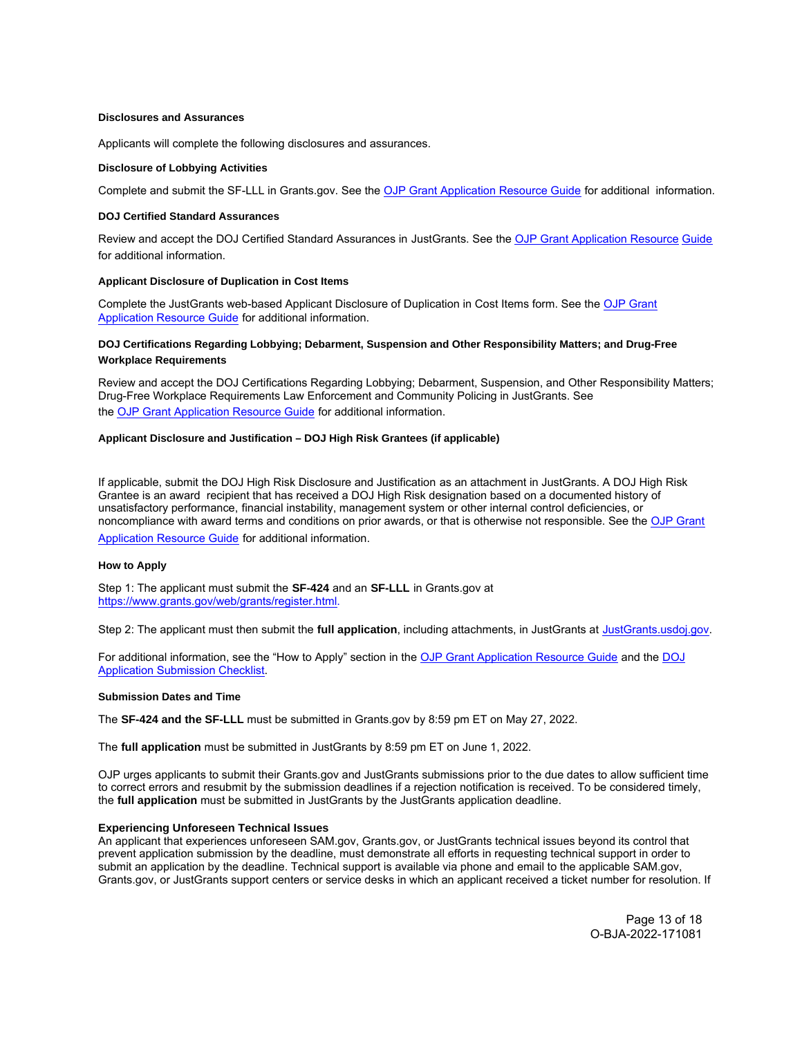#### <span id="page-12-0"></span>**Disclosures and Assurances**

Applicants will complete the following disclosures and assurances.

#### **Disclosure of Lobbying Activities**

Complete and submit the SF-LLL in [Grants.gov.](https://Grants.gov) See the [OJP Grant Application Resource Guide](https://www.ojp.gov/funding/apply/ojp-grant-application-resource-guide) for additional information.

#### **DOJ Certified Standard Assurances**

Review and accept the DOJ Certified Standard Assurances in JustGrants. See the [OJP Grant Application Resource](https://www.ojp.gov/funding/apply/ojp-grant-application-resource-guide) Guide for additional information.

#### **Applicant Disclosure of Duplication in Cost Items**

[Complete the JustGrants web-based Applicant Disclosure of Duplication in Cost Items form. See the OJP Grant](https://www.ojp.gov/funding/apply/ojp-grant-application-resource-guide) Application Resource Guide for additional information.

# **DOJ Certifications Regarding Lobbying; Debarment, Suspension and Other Responsibility Matters; and Drug-Free Workplace Requirements**

Review and accept the DOJ Certifications Regarding Lobbying; Debarment, Suspension, and Other Responsibility Matters; Drug-Free Workplace Requirements Law Enforcement and Community Policing in JustGrants. See the [OJP Grant Application Resource Guide](https://www.ojp.gov/funding/apply/ojp-grant-application-resource-guide) for additional information.

# **Applicant Disclosure and Justification – DOJ High Risk Grantees (if applicable)**

If applicable, submit the DOJ High Risk Disclosure and Justification as an attachment in JustGrants. A DOJ High Risk Grantee is an award recipient that has received a DOJ High Risk designation based on a documented history of unsatisfactory performance, financial instability, management system or other internal control deficiencies, or [noncompliance with award terms and conditions on prior awards, or that is otherwise not responsible. See the OJP Grant](https://www.ojp.gov/funding/apply/ojp-grant-application-resource-guide) Application Resource Guide for additional information.

#### **How to Apply**

Step 1: The applicant must submit the **SF-424** and an **SF-LLL** in [Grants.gov](https://Grants.gov) at [https://www.grants.gov/web/grants/register.html.](https://www.grants.gov/web/grants/register.html)

Step 2: The applicant must then submit the **full application**, including attachments, in JustGrants at [JustGrants.usdoj.gov](https://justicegrants.usdoj.gov/).

For additional information, see the "How to Apply" section in the [OJP Grant Application Resource Guide](https://www.ojp.gov/funding/apply/ojp-grant-application-resource-guide#apply) and the [DOJ](https://justicegrants.usdoj.gov/sites/g/files/xyckuh296/files/media/document/appln-submission-checklist.pdf) [Application Submission Checklist.](https://justicegrants.usdoj.gov/sites/g/files/xyckuh296/files/media/document/appln-submission-checklist.pdf)

#### **Submission Dates and Time**

The **SF-424 and the SF-LLL** must be submitted in [Grants.gov](https://Grants.gov) by 8:59 pm ET on May 27, 2022.

The **full application** must be submitted in JustGrants by 8:59 pm ET on June 1, 2022.

OJP urges applicants to submit their [Grants.gov](https://Grants.gov) and JustGrants submissions prior to the due dates to allow sufficient time to correct errors and resubmit by the submission deadlines if a rejection notification is received. To be considered timely, the **full application** must be submitted in JustGrants by the JustGrants application deadline.

# **Experiencing Unforeseen Technical Issues**

An applicant that experiences unforeseen SAM.gov, [Grants.gov,](https://Grants.gov) or JustGrants technical issues beyond its control that prevent application submission by the deadline, must demonstrate all efforts in requesting technical support in order to [submit an](https://Grants.gov) application by the deadline. Technical support is available via phone and email to the applicable SAM.gov, Grants.gov, or JustGrants support centers or service desks in which an applicant received a ticket number for resolution. If

> Page 13 of 18 O-BJA-2022-171081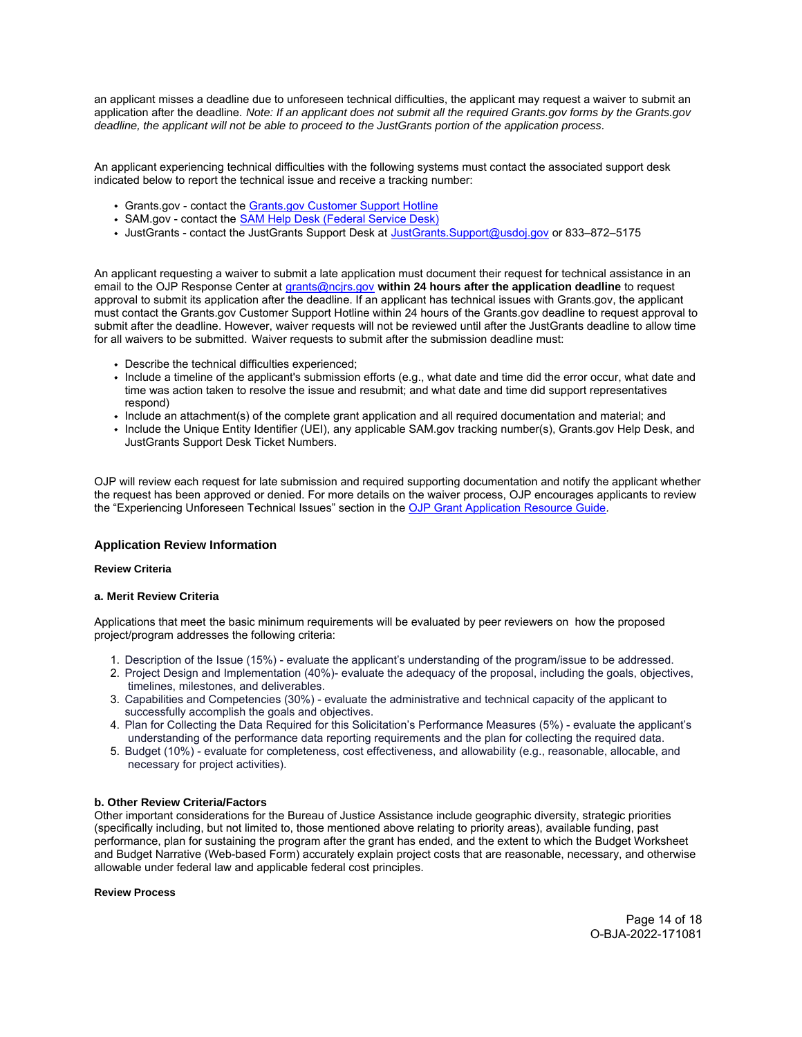<span id="page-13-0"></span>an applicant misses a deadline due to unforeseen technical difficulties, the applicant may request a waiver to submit an application after the deadline. Note: If an applicant does not submit all the required [Grants.gov](https://Grants.gov) forms by the [Grants.gov](https://Grants.gov)  deadline, the applicant will not be able to proceed to the JustGrants portion of the application process.

An applicant experiencing technical difficulties with the following systems must contact the associated support desk indicated below to report the technical issue and receive a tracking number:

- [Grants.gov](https://Grants.gov)  contact the [Grants.gov Customer Support Hotline](https://www.grants.gov/web/grants/support.html)
- SAM.gov contact the [SAM Help Desk \(Federal Service Desk\)](https://www.fsd.gov/gsafsd_sp)
- JustGrants contact the JustGrants Support Desk at [JustGrants.Support@usdoj.gov](mailto:JustGrants.Support@usdoj.gov) or 833–872–5175

An applicant requesting a waiver to submit a late application must document their request for technical assistance in an email to the OJP Response Center at [grants@ncjrs.gov](mailto:grants@ncjrs.gov) **within 24 hours after the application deadline** to request approval to submit its application after the deadline. If an applicant has technical issues with [Grants.gov,](https://Grants.gov) the applicant must contact the [Grants.gov](https://Grants.gov) Customer Support Hotline within 24 hours of the [Grants.gov](https://Grants.gov) deadline to request approval to submit after the deadline. However, waiver requests will not be reviewed until after the JustGrants deadline to allow time for all waivers to be submitted. Waiver requests to submit after the submission deadline must:

- Describe the technical difficulties experienced;
- Include a timeline of the applicant's submission efforts (e.g., what date and time did the error occur, what date and time was action taken to resolve the issue and resubmit; and what date and time did support representatives respond)
- Include an attachment(s) of the complete grant application and all required documentation and material; and
- Include the Unique Entity Identifier (UEI), any applicable SAM.gov tracking number(s), [Grants.gov](https://Grants.gov) Help Desk, and JustGrants Support Desk Ticket Numbers.

OJP will review each request for late submission and required supporting documentation and notify the applicant whether the request has been approved or denied. For more details on the waiver process, OJP encourages applicants to review the "Experiencing Unforeseen Technical Issues" section in the [OJP Grant Application Resource Guide](https://www.ojp.gov/funding/apply/ojp-grant-application-resource-guide#experiencing-unforeseen-technical-issues).

# **Application Review Information**

# **Review Criteria**

# **a. Merit Review Criteria**

Applications that meet the basic minimum requirements will be evaluated by peer reviewers on how the proposed project/program addresses the following criteria:

- 1. Description of the Issue (15%) evaluate the applicant's understanding of the program/issue to be addressed.
- 2. Project Design and Implementation (40%)- evaluate the adequacy of the proposal, including the goals, objectives, timelines, milestones, and deliverables.
- 3. Capabilities and Competencies (30%) evaluate the administrative and technical capacity of the applicant to successfully accomplish the goals and objectives.
- 4. Plan for Collecting the Data Required for this Solicitation's Performance Measures (5%) evaluate the applicant's understanding of the performance data reporting requirements and the plan for collecting the required data.
- 5. Budget (10%) evaluate for completeness, cost effectiveness, and allowability (e.g., reasonable, allocable, and necessary for project activities).

# **b. Other Review Criteria/Factors**

Other important considerations for the Bureau of Justice Assistance include geographic diversity, strategic priorities (specifically including, but not limited to, those mentioned above relating to priority areas), available funding, past performance, plan for sustaining the program after the grant has ended, and the extent to which the Budget Worksheet and Budget Narrative (Web-based Form) accurately explain project costs that are reasonable, necessary, and otherwise allowable under federal law and applicable federal cost principles.

# **Review Process**

Page 14 of 18 O-BJA-2022-171081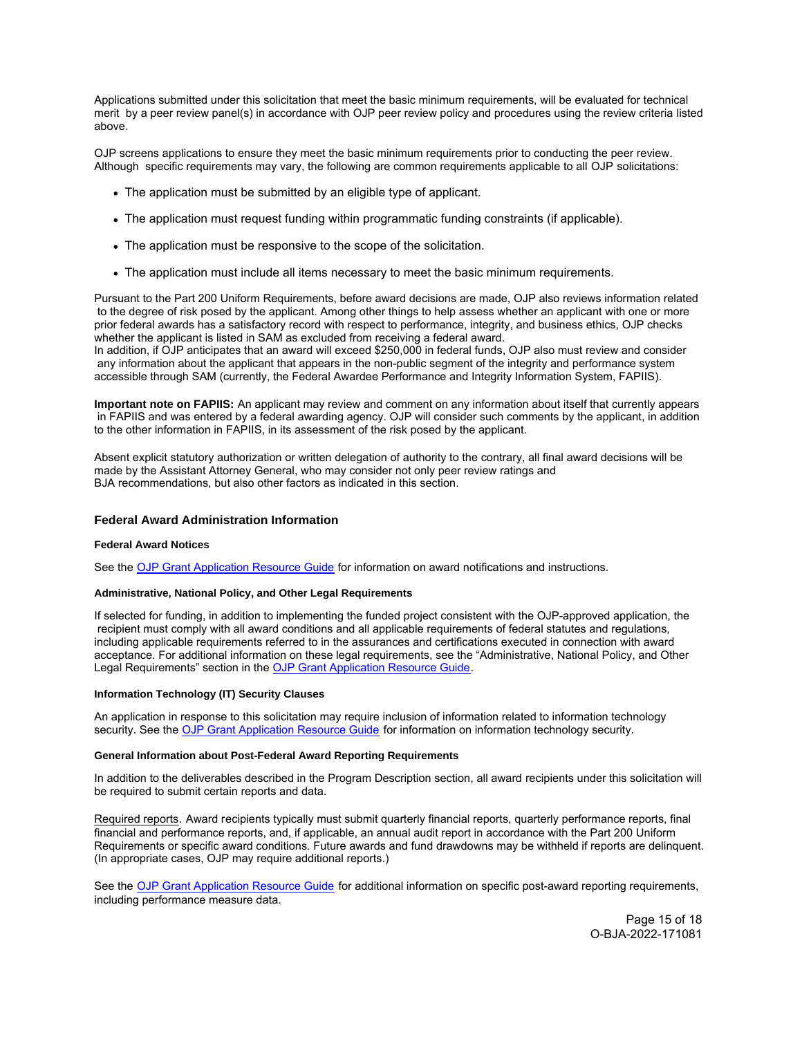<span id="page-14-0"></span>Applications submitted under this solicitation that meet the basic minimum requirements, will be evaluated for technical merit by a peer review panel(s) in accordance with OJP peer review policy and procedures using the review criteria listed above.

OJP screens applications to ensure they meet the basic minimum requirements prior to conducting the peer review. Although specific requirements may vary, the following are common requirements applicable to all OJP solicitations:

- The application must be submitted by an eligible type of applicant.
- The application must request funding within programmatic funding constraints (if applicable).
- The application must be responsive to the scope of the solicitation.
- The application must include all items necessary to meet the basic minimum requirements.

Pursuant to the Part 200 Uniform Requirements, before award decisions are made, OJP also reviews information related to the degree of risk posed by the applicant. Among other things to help assess whether an applicant with one or more prior federal awards has a satisfactory record with respect to performance, integrity, and business ethics, OJP checks whether the applicant is listed in SAM as excluded from receiving a federal award.

In addition, if OJP anticipates that an award will exceed \$250,000 in federal funds, OJP also must review and consider any information about the applicant that appears in the non-public segment of the integrity and performance system accessible through SAM (currently, the Federal Awardee Performance and Integrity Information System, FAPIIS).

**Important note on FAPIIS:** An applicant may review and comment on any information about itself that currently appears in FAPIIS and was entered by a federal awarding agency. OJP will consider such comments by the applicant, in addition to the other information in FAPIIS, in its assessment of the risk posed by the applicant.

Absent explicit statutory authorization or written delegation of authority to the contrary, all final award decisions will be made by the Assistant Attorney General, who may consider not only peer review ratings and BJA recommendations, but also other factors as indicated in this section.

# **Federal Award Administration Information**

# **Federal Award Notices**

See the [OJP Grant Application Resource Guide](https://www.ojp.gov/funding/apply/ojp-grant-application-resource-guide#federal-award-notices) for information on award notifications and instructions.

# **Administrative, National Policy, and Other Legal Requirements**

If selected for funding, in addition to implementing the funded project consistent with the OJP-approved application, the recipient must comply with all award conditions and all applicable requirements of federal statutes and regulations, including applicable requirements referred to in the assurances and certifications executed in connection with award acceptance. For additional information on these legal requirements, see the "Administrative, National Policy, and Other Legal Requirements" section in the [OJP Grant Application Resource Guide.](https://www.ojp.gov/funding/apply/ojp-grant-application-resource-guide#administrative)

# **Information Technology (IT) Security Clauses**

An application in response to this solicitation may require inclusion of information related to information technology security. See the [OJP Grant Application Resource Guide](https://www.ojp.gov/funding/apply/ojp-grant-application-resource-guide#information-technology) for information on information technology security.

### **General Information about Post-Federal Award Reporting Requirements**

In addition to the deliverables described in the Program Description section, all award recipients under this solicitation will be required to submit certain reports and data.

Required reports. Award recipients typically must submit quarterly financial reports, quarterly performance reports, final financial and performance reports, and, if applicable, an annual audit report in accordance with the Part 200 Uniform Requirements or specific award conditions. Future awards and fund drawdowns may be withheld if reports are delinquent. (In appropriate cases, OJP may require additional reports.)

See the [OJP Grant Application Resource Guide](https://www.ojp.gov/funding/apply/ojp-grant-application-resource-guide#general-information) for additional information on specific post-award reporting requirements, including performance measure data.

> Page 15 of 18 O-BJA-2022-171081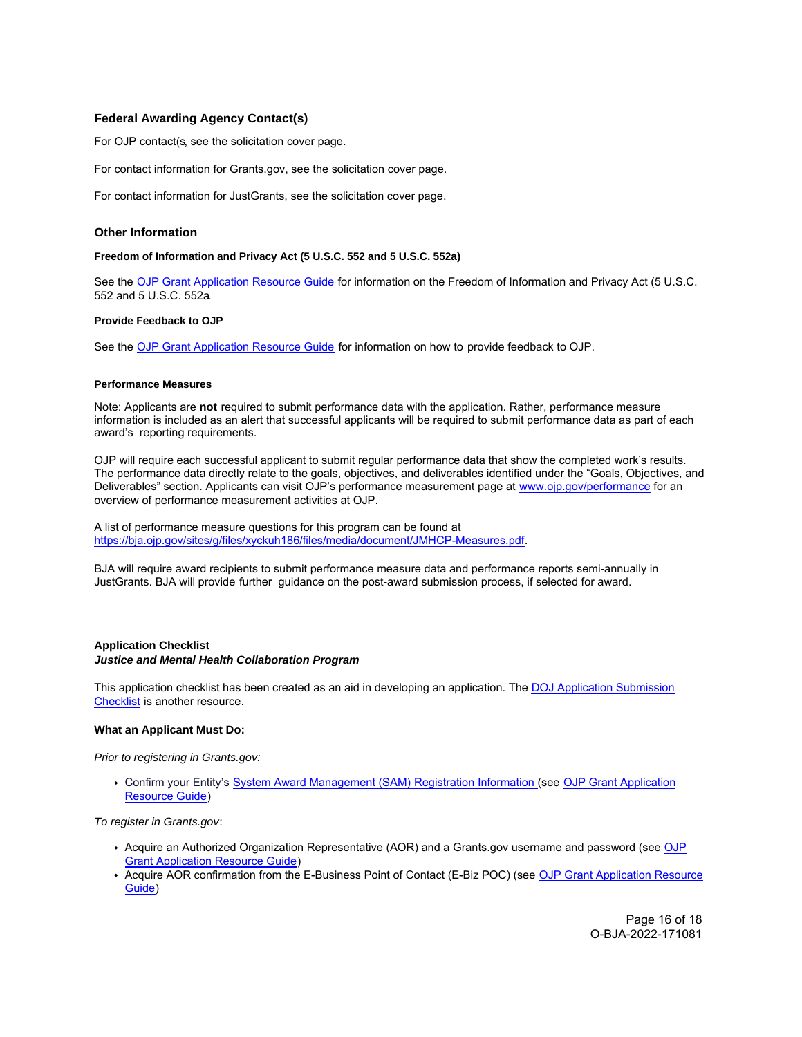# <span id="page-15-0"></span>**Federal Awarding Agency Contact(s)**

For OJP contact(s, see the solicitation cover page.

For contact information for [Grants.gov,](https://Grants.gov) see the solicitation cover page.

For contact information for JustGrants, see the solicitation cover page.

# **Other Information**

# **Freedom of Information and Privacy Act (5 U.S.C. 552 and 5 U.S.C. 552a)**

See the [OJP Grant Application Resource Guide](https://www.ojp.gov/funding/apply/ojp-grant-application-resource-guide#foia) for information on the Freedom of Information and Privacy Act (5 U.S.C. 552 and 5 U.S.C. 552a.

#### **Provide Feedback to OJP**

See the [OJP Grant Application Resource Guide](https://www.ojp.gov/funding/apply/ojp-grant-application-resource-guide#feedback) for information on how to provide feedback to OJP.

#### **Performance Measures**

Note: Applicants are **not** required to submit performance data with the application. Rather, performance measure information is included as an alert that successful applicants will be required to submit performance data as part of each award's reporting requirements.

OJP will require each successful applicant to submit regular performance data that show the completed work's results. The performance data directly relate to the goals, objectives, and deliverables identified under the "Goals, Objectives, and Deliverables" section. Applicants can visit OJP's performance measurement page at [www.ojp.gov/performance fo](http://www.ojp.gov/performance)r an overview of performance measurement activities at OJP.

A list of performance measure questions for this program can be found at [https://bja.ojp.gov/sites/g/files/xyckuh186/files/media/document/JMHCP-Measures.pdf.](https://bja.ojp.gov/sites/g/files/xyckuh186/files/media/document/JMHCP-Measures.pdf)

BJA will require award recipients to submit performance measure data and performance reports semi-annually in JustGrants. BJA will provide further guidance on the post-award submission process, if selected for award.

# **Application Checklist Justice and Mental Health Collaboration Program**

This application checklist has been created as an aid in developing an application. The [DOJ Application Submission](https://justicegrants.usdoj.gov/sites/g/files/xyckuh296/files/media/document/appln-submission-checklist.pdf) [Checklist](https://justicegrants.usdoj.gov/sites/g/files/xyckuh296/files/media/document/appln-submission-checklist.pdf) is another resource.

# **What an Applicant Must Do:**

Prior to registering in [Grants.gov:](https://Grants.gov)

Confirm your Entity's [System Award Management \(SAM\)](https://sam.gov/SAM/) Registration Information (see [OJP Grant Application](https://www.ojp.gov/funding/apply/ojp-grant-application-resource-guide#apply) [Resource Guide\)](https://www.ojp.gov/funding/apply/ojp-grant-application-resource-guide#apply)

To register in [Grants.gov](https://Grants.gov):

- Acquire an Authorized Organization Representative (AOR) and a [Grants.gov](https://Grants.gov) username and password (see [OJP](https://www.ojp.gov/funding/apply/ojp-grant-application-resource-guide#apply) [Grant Application Resource Guide\)](https://www.ojp.gov/funding/apply/ojp-grant-application-resource-guide#apply)
- Acquire AOR confirmation from the E-Business Point of Contact (E-Biz POC) (see [OJP Grant Application Resource](https://www.ojp.gov/funding/apply/ojp-grant-application-resource-guide#apply) [Guide\)](https://www.ojp.gov/funding/apply/ojp-grant-application-resource-guide#apply)

Page 16 of 18 O-BJA-2022-171081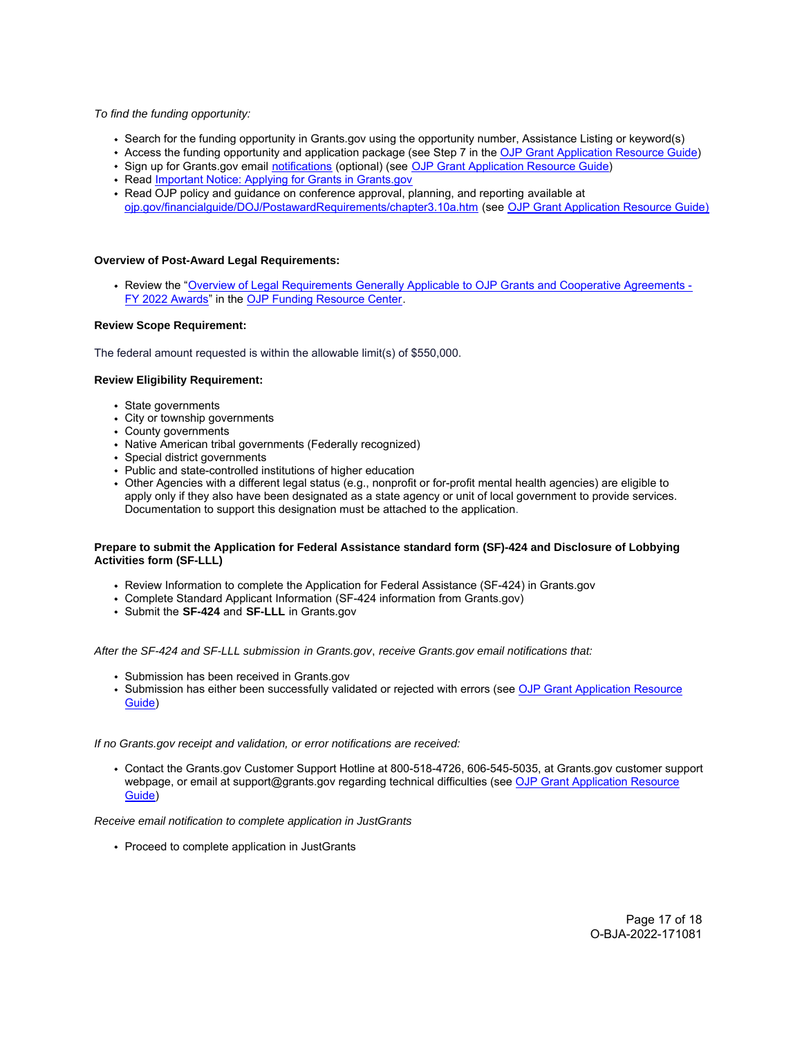# To find the funding opportunity:

- Search for the funding opportunity in [Grants.gov](https://Grants.gov) using the opportunity number, Assistance Listing or keyword(s)
- Access the funding opportunity and application package (see Step 7 in the [OJP Grant Application Resource Guide](https://www.ojp.gov/funding/apply/ojp-grant-application-resource-guide#apply))
- Sign up for Grants.gov email [notifications](https://www.grants.gov/web/grants/manage-subscriptions.html) (optional) (see [OJP Grant Application Resource Guide](https://www.ojp.gov/funding/apply/ojp-grant-application-resource-guide#apply))
- Read [Important Notice: Applying for Grants in Grants.gov](https://ojp.gov/funding/Apply/Grants-govInfo.htm)
- Read OJP policy and guidance on conference approval, planning, and reporting available at [ojp.gov/financialguide/DOJ/PostawardRequirements/chapter3.10a.htm](https://ojp.gov/financialguide/DOJ/PostawardRequirements/chapter3.10a.htm) (see [OJP Grant Application Resource Guide\)](https://www.ojp.gov/funding/apply/ojp-grant-application-resource-guide#prior-approval)

## **Overview of Post-Award Legal Requirements:**

Review the "[Overview of Legal Requirements Generally Applicable to OJP Grants and Cooperative Agreements -](https://www.ojp.gov/funding/explore/legal-overview-awards) [FY 2022 Awards"](https://www.ojp.gov/funding/explore/legal-overview-awards) in the [OJP Funding Resource Center.](https://www.ojp.gov/funding/explore/legal-overview-awards)

# **Review Scope Requirement:**

The federal amount requested is within the allowable limit(s) of \$550,000.

#### **Review Eligibility Requirement:**

- State governments
- City or township governments
- County governments
- Native American tribal governments (Federally recognized)
- Special district governments
- Public and state-controlled institutions of higher education
- Other Agencies with a different legal status (e.g., nonprofit or for-profit mental health agencies) are eligible to apply only if they also have been designated as a state agency or unit of local government to provide services. Documentation to support this designation must be attached to the application.

# **Prepare to submit the Application for Federal Assistance standard form (SF)-424 and Disclosure of Lobbying Activities form (SF-LLL)**

- Review Information to complete the Application for Federal Assistance (SF-424) in [Grants.gov](https://Grants.gov)
- Complete Standard Applicant Information (SF-424 information from [Grants.gov](https://Grants.gov))
- Submit the **SF-424** and **SF-LLL** in [Grants.gov](https://Grants.gov)

After the SF-424 and SF-LLL submission in [Grants.gov](https://Grants.gov), receive [Grants.gov](https://Grants.gov) email notifications that:

- Submission has been received in [Grants.gov](https://Grants.gov)
- Submission has either been successfully validated or rejected with errors (see [OJP Grant Application Resource](https://www.ojp.gov/funding/apply/ojp-grant-application-resource-guide#apply) [Guide\)](https://www.ojp.gov/funding/apply/ojp-grant-application-resource-guide#apply)

If no [Grants.gov](https://Grants.gov) receipt and validation, or error notifications are received:

Contact the [Grants.gov](https://Grants.gov) Customer Support Hotline at 800-518-4726, 606-545-5035, at [Grants.gov](https://Grants.gov) customer support webpage, or email at [support@grants.gov](mailto:support@grants.gov) regarding technical difficulties (see [OJP Grant Application Resource](https://www.ojp.gov/funding/apply/ojp-grant-application-resource-guide#apply) [Guide\)](https://www.ojp.gov/funding/apply/ojp-grant-application-resource-guide#apply)

Receive email notification to complete application in JustGrants

• Proceed to complete application in JustGrants